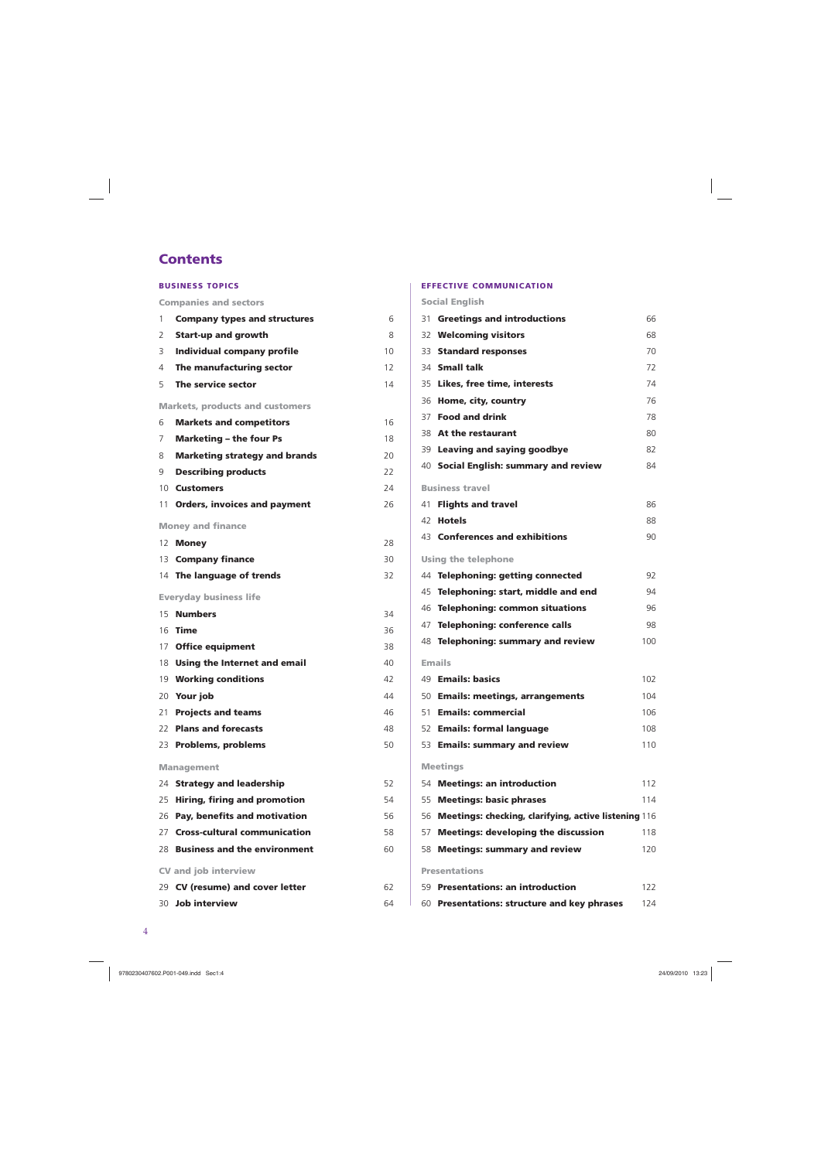# **Contents**

# **BUSINESS TOPICS**

**Companies and sectors**

| 1  | <b>Company types and structures</b>    | 6  |
|----|----------------------------------------|----|
| 2  | <b>Start-up and growth</b>             | 8  |
| 3  | <b>Individual company profile</b>      | 10 |
| 4  | The manufacturing sector               | 12 |
| 5  | The service sector                     | 14 |
|    | <b>Markets, products and customers</b> |    |
| 6  | <b>Markets and competitors</b>         | 16 |
| 7  | <b>Marketing - the four Ps</b>         | 18 |
| 8  | <b>Marketing strategy and brands</b>   | 20 |
| 9  | <b>Describing products</b>             | 22 |
|    | 10 <b>Customers</b>                    | 24 |
|    | 11 Orders, invoices and payment        | 26 |
|    | <b>Money and finance</b>               |    |
| 12 | <b>Money</b>                           | 28 |
|    | 13 Company finance                     | 30 |
|    | 14 The language of trends              | 32 |
|    | <b>Everyday business life</b>          |    |
|    | 15 <b>Numbers</b>                      | 34 |
|    | 16 <b>Time</b>                         | 36 |
|    | 17 Office equipment                    | 38 |
|    | 18 Using the Internet and email        | 40 |
|    | 19 Working conditions                  | 42 |
|    | 20 Your job                            | 44 |
|    | 21 Projects and teams                  | 46 |
|    | 22 Plans and forecasts                 | 48 |
|    | 23 Problems, problems                  | 50 |
|    | <b>Management</b>                      |    |
|    | 24 Strategy and leadership             | 52 |
| 25 | <b>Hiring, firing and promotion</b>    | 54 |
|    | 26 Pay, benefits and motivation        | 56 |
|    | 27 Cross-cultural communication        | 58 |
|    | 28 Business and the environment        | 60 |
|    | <b>CV and job interview</b>            |    |
|    | 29 CV (resume) and cover letter        | 62 |
|    | 30 Job interview                       | 64 |

# **EFFECTIVE COMMUNICATION**

### **Social English**

| 31 | <b>Greetings and introductions</b>                          | 66  |
|----|-------------------------------------------------------------|-----|
| 32 | <b>Welcoming visitors</b>                                   | 68  |
| 33 | <b>Standard responses</b>                                   | 70  |
|    | 34 Small talk                                               | 72  |
| 35 | Likes, free time, interests                                 | 74  |
| 36 | Home, city, country                                         | 76  |
|    | 37 Food and drink                                           | 78  |
|    | 38 At the restaurant                                        | 80  |
| 39 | <b>Leaving and saying goodbye</b>                           | 82  |
|    | 40 Social English: summary and review                       | 84  |
|    | <b>Business travel</b>                                      |     |
| 41 | <b>Flights and travel</b>                                   | 86  |
|    | 42 Hotels                                                   | 88  |
|    | 43 Conferences and exhibitions                              | 90  |
|    | <b>Using the telephone</b>                                  |     |
|    | 44 Telephoning: getting connected                           | 92  |
|    | 45 Telephoning: start, middle and end                       | 94  |
|    | 46 Telephoning: common situations                           | 96  |
| 47 | <b>Telephoning: conference calls</b>                        | 98  |
|    | 48 Telephoning: summary and review                          | 100 |
|    | <b>Emails</b>                                               |     |
|    | 49 Emails: basics                                           | 102 |
|    | 50 Emails: meetings, arrangements                           | 104 |
| 51 | <b>Emails: commercial</b>                                   | 106 |
|    | 52 Emails: formal language                                  | 108 |
| 53 | <b>Emails: summary and review</b>                           | 110 |
|    | <b>Meetings</b>                                             |     |
|    | 54 Meetings: an introduction                                | 112 |
| 55 | <b>Meetings: basic phrases</b>                              | 114 |
| 56 | <b>Meetings: checking, clarifying, active listening 116</b> |     |
| 57 | <b>Meetings: developing the discussion</b>                  | 118 |
|    | 58 Meetings: summary and review                             | 120 |
|    | <b>Presentations</b>                                        |     |
|    | 59 Presentations: an introduction                           | 122 |

**Presentations: structure and key phrases** 124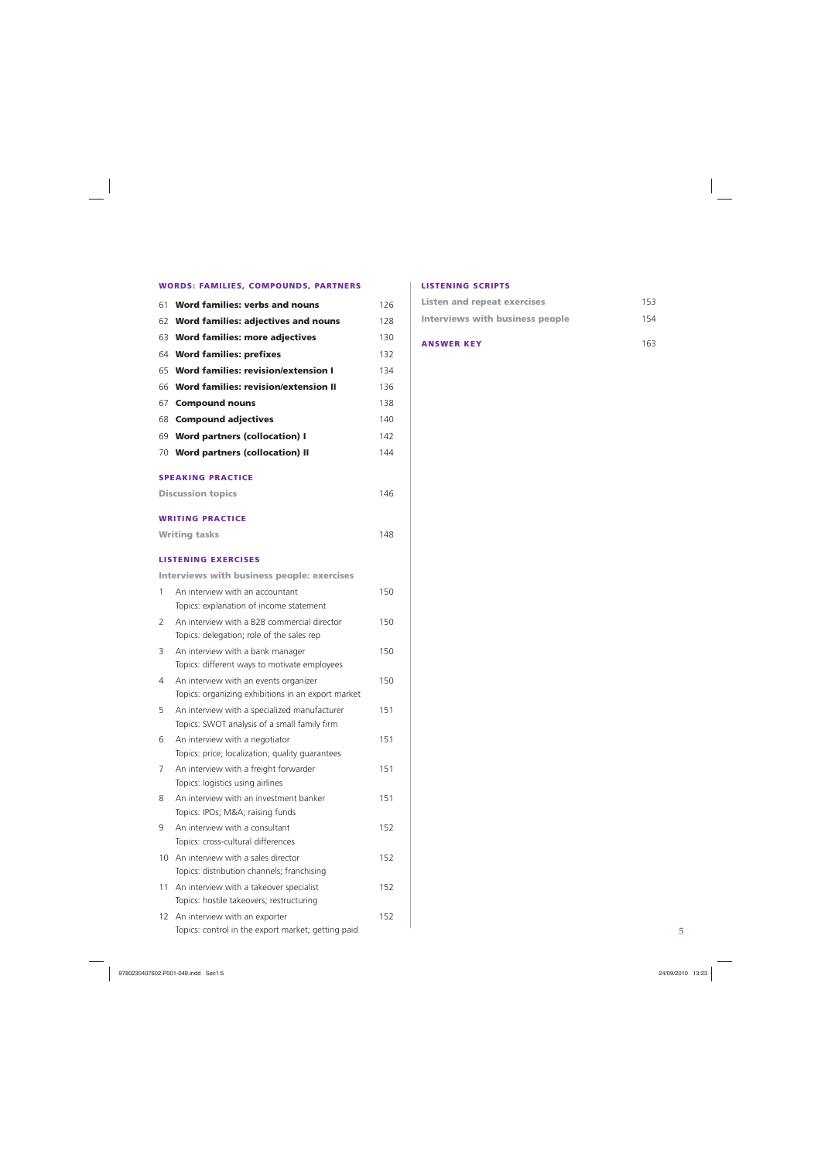#### **WORDS: FAMILIES, COMPOUNDS, PARTNERS**

| 61 | Word families: verbs and nouns                                                               | 126 |
|----|----------------------------------------------------------------------------------------------|-----|
| 62 | Word families: adjectives and nouns                                                          | 128 |
| 63 | <b>Word families: more adjectives</b>                                                        | 130 |
| 64 | <b>Word families: prefixes</b>                                                               | 132 |
| 65 | <b>Word families: revision/extension I</b>                                                   | 134 |
| 66 | Word families: revision/extension II                                                         | 136 |
| 67 | <b>Compound nouns</b>                                                                        | 138 |
| 68 | <b>Compound adjectives</b>                                                                   | 140 |
| 69 | <b>Word partners (collocation) I</b>                                                         | 142 |
|    | 70 Word partners (collocation) II                                                            | 144 |
|    | <b>SPEAKING PRACTICE</b>                                                                     |     |
|    | <b>Discussion topics</b>                                                                     | 146 |
|    |                                                                                              |     |
|    | <b>WRITING PRACTICE</b>                                                                      |     |
|    | <b>Writing tasks</b>                                                                         | 148 |
|    | <b>LISTENING EXERCISES</b>                                                                   |     |
|    | <b>Interviews with business people: exercises</b>                                            |     |
| 1  | An interview with an accountant                                                              | 150 |
|    | Topics: explanation of income statement                                                      |     |
| 2  | An interview with a B2B commercial director<br>Topics: delegation; role of the sales rep     | 150 |
| 3  | An interview with a bank manager<br>Topics: different ways to motivate employees             | 150 |
| 4  | An interview with an events organizer<br>Topics: organizing exhibitions in an export market  | 150 |
| 5  | An interview with a specialized manufacturer<br>Topics: SWOT analysis of a small family firm | 151 |
| 6  | An interview with a negotiator                                                               | 151 |
|    | Topics: price; localization; quality guarantees                                              |     |
| 7  | An interview with a freight forwarder<br>Topics: logistics using airlines                    | 151 |
| 8  | An interview with an investment banker                                                       | 151 |
|    | Topics: IPOs; M&A raising funds                                                              |     |
| 9  | An interview with a consultant<br>Topics: cross-cultural differences                         | 152 |
| 10 | An interview with a sales director                                                           | 152 |
|    | Topics: distribution channels; franchising                                                   |     |
| 11 | An interview with a takeover specialist                                                      | 152 |
|    | Topics: hostile takeovers; restructuring                                                     |     |
| 12 | An interview with an exporter                                                                | 152 |
|    | Topics: control in the export market; getting paid                                           |     |

#### **LISTENING SCRIPTS**

| <b>ANSWER KEY</b>                  | 163. |
|------------------------------------|------|
| Interviews with business people    | 154  |
| <b>Listen and repeat exercises</b> | 153. |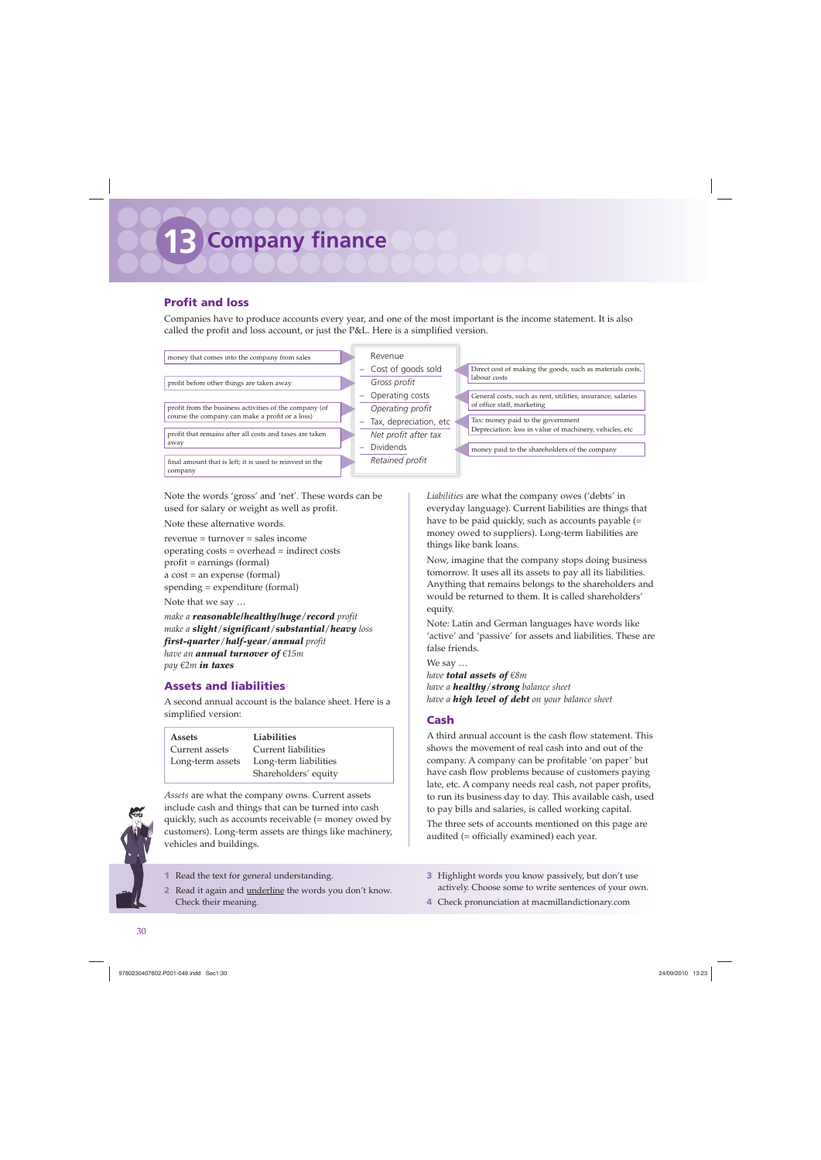# **13 Company finance**

# **Profit and loss**

Companies have to produce accounts every year, and one of the most important is the income statement. It is also called the profit and loss account, or just the P&L. Here is a simplified version.



Note the words 'gross' and 'net'. These words can be used for salary or weight as well as profit.

Note these alternative words.

revenue = turnover = sales income operating costs = overhead = indirect costs profit = earnings (formal) a cost = an expense (formal) spending = expenditure (formal)

Note that we say …

*make a reasonable***/***healthy***/***huge*/*record profit make a slight*/*significant*/*substantial*/*heavy loss first-quarter*/*half-year*/*annual profit have an annual turnover of €15m pay €2m in taxes*

# **Assets and liabilities**

A second annual account is the balance sheet. Here is a simplified version:

| <b>Assets</b>    | Liabilities           |
|------------------|-----------------------|
| Current assets   | Current liabilities   |
| Long-term assets | Long-term liabilities |
|                  | Shareholders' equity  |

*Assets* are what the company owns. Current assets include cash and things that can be turned into cash quickly, such as accounts receivable (= money owed by customers). Long-term assets are things like machinery, vehicles and buildings.

- **1** Read the text for general understanding.
- **2** Read it again and underline the words you don't know. Check their meaning.

*Liabilities* are what the company owes ('debts' in everyday language). Current liabilities are things that have to be paid quickly, such as accounts payable (= money owed to suppliers). Long-term liabilities are things like bank loans.

Now, imagine that the company stops doing business tomorrow. It uses all its assets to pay all its liabilities. Anything that remains belongs to the shareholders and would be returned to them. It is called shareholders' equity.

Note: Latin and German languages have words like 'active' and 'passive' for assets and liabilities. These are false friends.

We say …

*have total assets of €8m have a healthy*/*strong balance sheet have a high level of debt on your balance sheet*

# **Cash**

A third annual account is the cash flow statement. This shows the movement of real cash into and out of the company. A company can be profitable 'on paper' but have cash flow problems because of customers paying late, etc. A company needs real cash, not paper profits, to run its business day to day. This available cash, used to pay bills and salaries, is called working capital.

The three sets of accounts mentioned on this page are audited (= officially examined) each year.

- **3** Highlight words you know passively, but don't use actively. Choose some to write sentences of your own.
- **4** Check pronunciation at macmillandictionary.com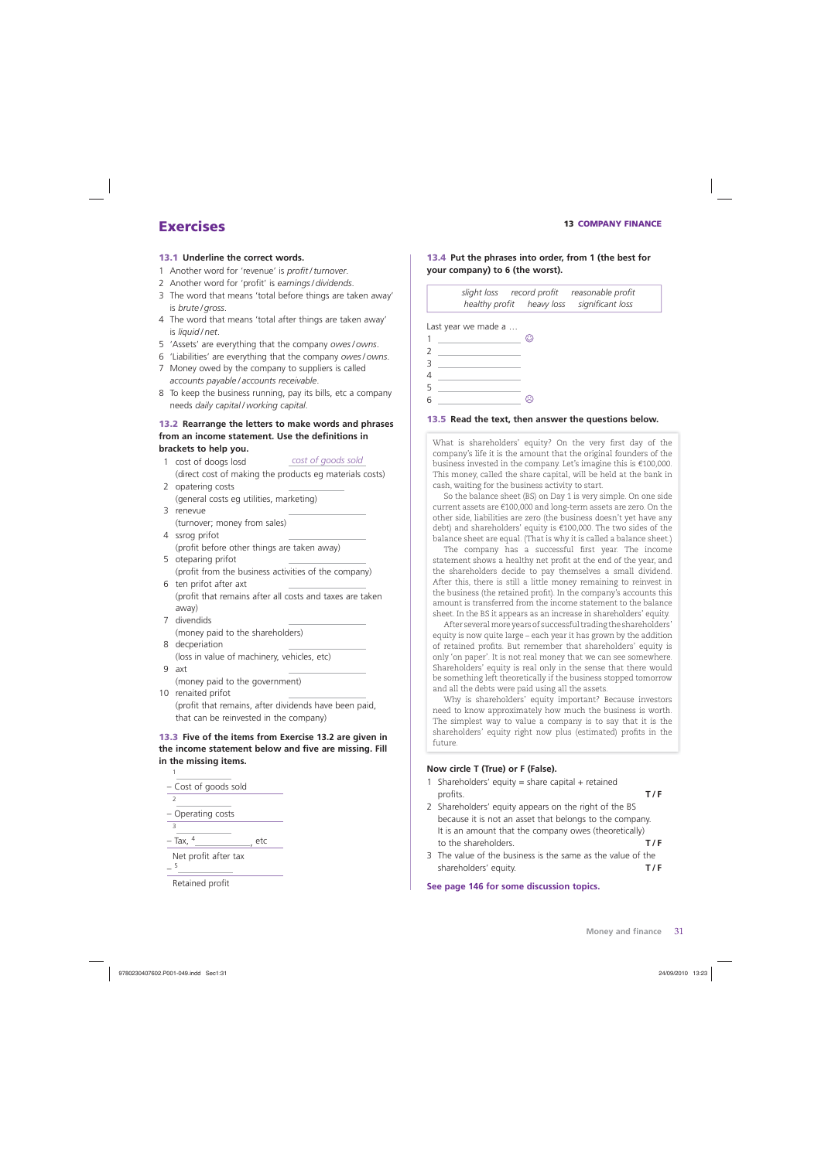# **Exercises 13 COMPANY FINANCE**

#### **13.1 Underline the correct words.**

- 1 Another word for 'revenue' is *profit / turnover*.
- 2 Another word for 'profit' is *earnings / dividends*.
- 3 The word that means 'total before things are taken away' is *brute / gross*.
- 4 The word that means 'total after things are taken away' is *liquid / net*.
- 5 'Assets' are everything that the company *owes / owns*.
- 6 'Liabilities' are everything that the company *owes / owns*.
- 7 Money owed by the company to suppliers is called *accounts payable / accounts receivable*.
- 8 To keep the business running, pay its bills, etc a company needs *daily capital / working capital*.

#### **13.2 Rearrange the letters to make words and phrases from an income statement. Use the definitions in brackets to help you.**

- 1 cost of doogs losd *cost of goods sold* (direct cost of making the products eg materials costs)
- 2 opatering costs (general costs eg utilities, marketing)
- 3 renevue (turnover; money from sales)
- 4 ssrog prifot (profit before other things are taken away)
- 5 oteparing prifot (profit from the business activities of the company)
- 6 ten prifot after axt (profit that remains after all costs and taxes are taken away)
- 7 divendids (money paid to the shareholders)
- 8 decperiation (loss in value of machinery, vehicles, etc)

9 axt

(money paid to the government)

10 renaited prifot (profit that remains, after dividends have been paid, that can be reinvested in the company)

# **13.3 Five of the items from Exercise 13.2 are given in the income statement below and five are missing. Fill in the missing items.**

 – Cost of goods sold <sup>2</sup> – Operating costs  $\overline{\mathbf{3}}$  $-$  Tax,  $4$  , etc

Net profit after tax

– <sup>5</sup>

<sup>1</sup>

Retained profit

## **13.4 Put the phrases into order, from 1 (the best for your company) to 6 (the worst).**

|               |                     |   | slight loss record profit reasonable profit<br>healthy profit heavy loss significant loss |  |
|---------------|---------------------|---|-------------------------------------------------------------------------------------------|--|
|               | Last year we made a | з |                                                                                           |  |
| $\mathcal{L}$ |                     |   |                                                                                           |  |
| 3             |                     |   |                                                                                           |  |
|               |                     |   |                                                                                           |  |
|               |                     |   |                                                                                           |  |

 $\circledR$ 6

#### **13.5 Read the text, then answer the questions below.**

What is shareholders' equity? On the very first day of the company's life it is the amount that the original founders of the business invested in the company. Let's imagine this is €100,000. This money, called the share capital, will be held at the bank in cash, waiting for the business activity to start.

So the balance sheet (BS) on Day 1 is very simple. On one side current assets are €100,000 and long-term assets are zero. On the other side, liabilities are zero (the business doesn't yet have any debt) and shareholders' equity is €100,000. The two sides of the balance sheet are equal. (That is why it is called a balance sheet.)

The company has a successful first year. The income statement shows a healthy net profit at the end of the year, and the shareholders decide to pay themselves a small dividend. After this, there is still a little money remaining to reinvest in the business (the retained profit). In the company's accounts this amount is transferred from the income statement to the balance sheet. In the BS it appears as an increase in shareholders' equity.

After several more years of successful trading the shareholders' equity is now quite large – each year it has grown by the addition of retained profits. But remember that shareholders' equity is only 'on paper'. It is not real money that we can see somewhere. Shareholders' equity is real only in the sense that there would be something left theoretically if the business stopped tomorrow and all the debts were paid using all the assets.

Why is shareholders' equity important? Because investors need to know approximately how much the business is worth. The simplest way to value a company is to say that it is the shareholders' equity right now plus (estimated) profits in the future.

## **Now circle T (True) or F (False).**

- 1 Shareholders' equity  $=$  share capital  $+$  retained profits. **T / F**
- 2 Shareholders' equity appears on the right of the BS because it is not an asset that belongs to the company. It is an amount that the company owes (theoretically) to the shareholders. **T / F**
- 3 The value of the business is the same as the value of the shareholders' equity. **T/F**

## **See page 146 for some discussion topics.**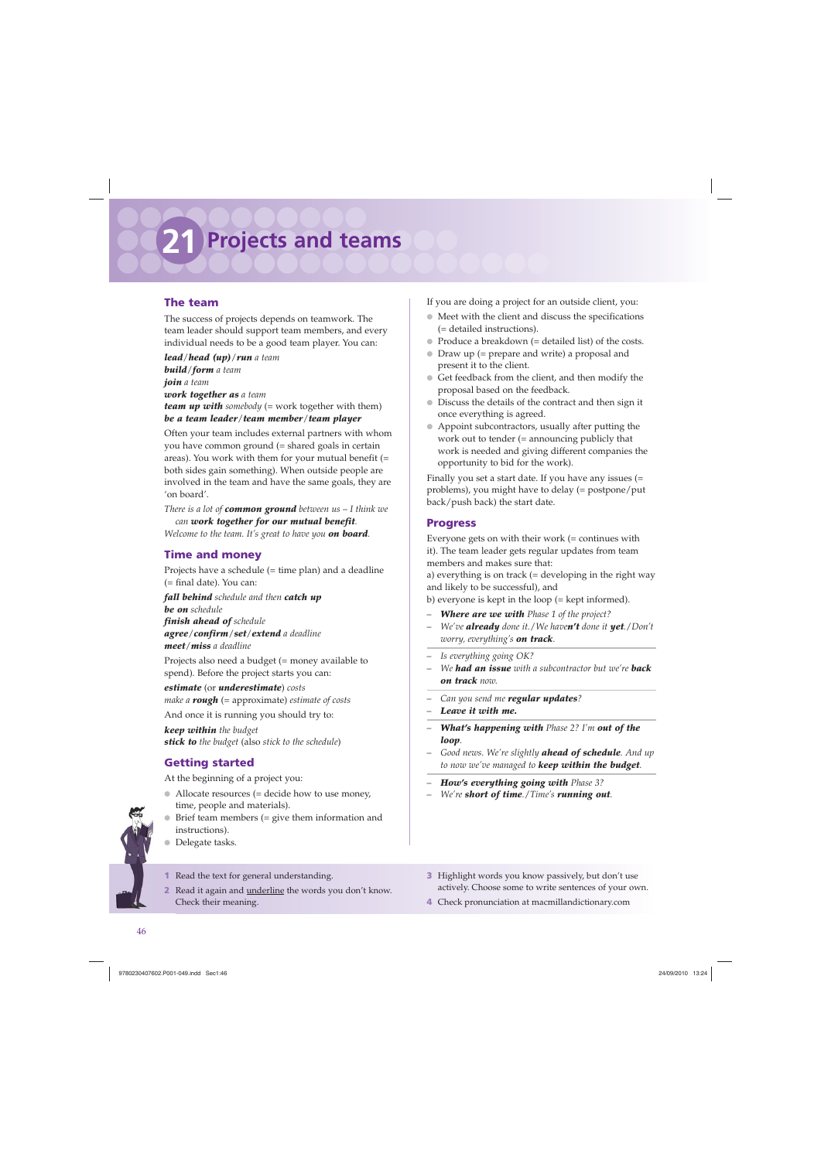# **21 Projects and teams**

# **The team**

The success of projects depends on teamwork. The team leader should support team members, and every individual needs to be a good team player. You can:

*lead*/*head (up)*/*run a team*

*build*/*form a team join a team work together as a team team up with* somebody (= work together with them) *be a team leader*/*team member*/*team player*

Often your team includes external partners with whom you have common ground (= shared goals in certain areas). You work with them for your mutual benefit (= both sides gain something). When outside people are involved in the team and have the same goals, they are 'on board'.

*There is a lot of <i>common ground* between us – I think we  *can work together for our mutual benefit. Welcome to the team. It's great to have you on board.*

# **Time and money**

Projects have a schedule (= time plan) and a deadline (= final date). You can:

*fall behind schedule and then catch up be on schedule finish ahead of schedule agree*/*confirm*/*set*/*extend a deadline meet*/*miss a deadline*

Projects also need a budget (= money available to spend). Before the project starts you can:

*estimate* (or *underestimate*) *costs make a rough* (= approximate) *estimate of costs* And once it is running you should try to:

*keep within the budget stick to the budget* (also *stick to the schedule*)

# **Getting started**

At the beginning of a project you:

- Allocate resources (= decide how to use money, time, people and materials).
- Brief team members (= give them information and instructions).
- Delegate tasks.
- **1** Read the text for general understanding.
- **2** Read it again and underline the words you don't know. Check their meaning.

If you are doing a project for an outside client, you:

- Meet with the client and discuss the specifications (= detailed instructions).
- Produce a breakdown (= detailed list) of the costs.
- Draw up (= prepare and write) a proposal and present it to the client.
- Get feedback from the client, and then modify the proposal based on the feedback.
- Discuss the details of the contract and then sign it once everything is agreed.
- Appoint subcontractors, usually after putting the work out to tender (= announcing publicly that work is needed and giving different companies the opportunity to bid for the work).

Finally you set a start date. If you have any issues (= problems), you might have to delay (= postpone/put back/push back) the start date.

# **Progress**

Everyone gets on with their work (= continues with it). The team leader gets regular updates from team members and makes sure that:

a) everything is on track (= developing in the right way and likely to be successful), and

b) everyone is kept in the loop (= kept informed).

- *Where are we with Phase 1 of the project?*
- *We've already done it.*/*We haven't done it yet.*/*Don't worry, everything's on track.*
- *Is everything going OK?*
- *We had an issue with a subcontractor but we're back on track now.*
- *Can you send me regular updates?*
- *Leave it with me.*
- *What's happening with Phase 2? I'm out of the loop.*
- *Good news. We're slightly ahead of schedule. And up to now we've managed to keep within the budget.*
- *How's everything going with Phase 3?*
- *We're short of time.*/*Time's running out.*
- **3** Highlight words you know passively, but don't use actively. Choose some to write sentences of your own.
- **4** Check pronunciation at macmillandictionary.com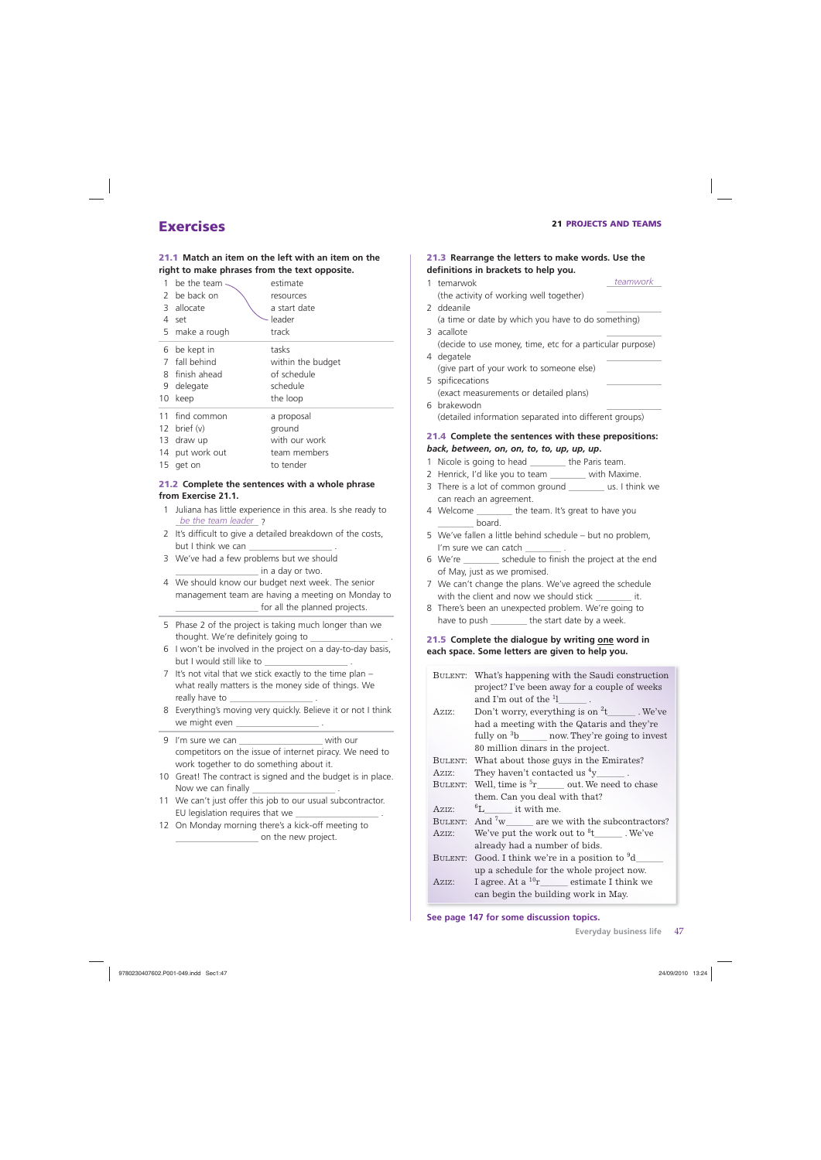# **21.1 Match an item on the left with an item on the right to make phrases from the text opposite.**

| 1  | be the team     | estimate          |
|----|-----------------|-------------------|
|    | 2 be back on    | resources         |
| 3  | allocate        | a start date      |
| 4  | set             | leader            |
| 5  | make a rough    | track             |
|    | 6 be kept in    | tasks             |
|    | 7 fall behind   | within the budget |
|    | 8 finish ahead  | of schedule       |
| 9  | delegate        | schedule          |
|    | 10 keep         | the loop          |
|    | 11 find common  | a proposal        |
|    | 12 brief $(v)$  | ground            |
|    | 13 draw up      | with our work     |
|    | 14 put work out | team members      |
| 15 | get on          | to tender         |

# **21.2 Complete the sentences with a whole phrase from Exercise 21.1.**

- 1 Juliana has little experience in this area. Is she ready to *be the team leader* ?
- 2 It's difficult to give a detailed breakdown of the costs, but I think we can .
- 3 We've had a few problems but we should **in a day or two.**

 4 We should know our budget next week. The senior management team are having a meeting on Monday to **For all the planned projects.** 

- 5 Phase 2 of the project is taking much longer than we thought. We're definitely going to .
- 6 I won't be involved in the project on a day-to-day basis, but I would still like to \_
- 7 It's not vital that we stick exactly to the time plan what really matters is the money side of things. We really have to \_\_\_
- 8 Everything's moving very quickly. Believe it or not I think we might even .

 9 I'm sure we can with our competitors on the issue of internet piracy. We need to work together to do something about it.

- 10 Great! The contract is signed and the budget is in place. Now we can finally .
- 11 We can't just offer this job to our usual subcontractor. EU legislation requires that we .
- 12 On Monday morning there's a kick-off meeting to **COLORED EXECUTE:** On the new project.

#### **21.3 Rearrange the letters to make words. Use the definitions in brackets to help you.**

|   | 1 temarwok     | teamwork                                                   |
|---|----------------|------------------------------------------------------------|
|   |                | (the activity of working well together)                    |
|   | 2 ddeanile     |                                                            |
|   |                |                                                            |
|   |                | (a time or date by which you have to do something)         |
| 3 | acallote       |                                                            |
|   |                | (decide to use money, time, etc for a particular purpose)  |
|   | 4 degatele     |                                                            |
|   |                | (give part of your work to someone else)                   |
| 5 | spificecations |                                                            |
|   |                | (exact measurements or detailed plans)                     |
|   | 6 brakewodn    |                                                            |
|   |                | (detailed information separated into different groups)     |
|   |                |                                                            |
|   |                | 21.4 Complete the sentences with these prepositions:       |
|   |                | back, between, on, on, to, to, up, up, up.                 |
|   |                | 1 Nicole is going to head _________ the Paris team.        |
|   |                | 2 Henrick, I'd like you to team ________ with Maxime.      |
|   |                | 3 There is a lot of common ground ________ us. I think we  |
|   |                |                                                            |
|   |                | can reach an agreement.                                    |
|   |                | 4 Welcome _________ the team. It's great to have you       |
|   | board.         |                                                            |
|   |                | 5 We've fallen a little behind schedule - but no problem,  |
|   |                | I'm sure we can catch                                      |
|   |                | 6 We're ________ schedule to finish the project at the end |
|   |                | of May, just as we promised.                               |
|   |                | 7 We can't change the plans. We've agreed the schedule     |
|   |                | with the client and now we should stick ___________ it.    |
|   |                | 8 There's been an unexpected problem. We're going to       |
|   |                |                                                            |
|   |                | have to push ________ the start date by a week.            |
|   |                | 21.5 Complete the dialogue by writing one word in          |
|   |                | each space. Some letters are given to help you.            |
|   |                |                                                            |
|   | BULENT:        | What's happening with the Saudi construction               |
|   |                | project? I've been away for a couple of weeks              |
|   |                | and I'm out of the <sup>1</sup> l                          |
|   | Aziz:          | Don't worry, everything is on $2t$<br>. We've              |
|   |                |                                                            |
|   |                | had a meeting with the Qataris and they're                 |
|   |                | fully on $\delta b$ now. They're going to invest           |
|   |                | 80 million dinars in the project.                          |
|   | BULENT:        | What about those guys in the Emirates?                     |
|   | Aziz:          | They haven't contacted us $\frac{4}{3}$ .                  |
|   | BULENT:        | Well, time is ${}^{5}$ r ______ out. We need to chase      |
|   |                | them. Can you deal with that?                              |
|   | Aziz:          | ${}^{6}$ L it with me.                                     |
|   |                |                                                            |
|   | BULENT:        | And $7w$ are we with the subcontractors?                   |
|   | Aziz:          | We've put the work out to ${}^{8}$ t________. We've        |
|   |                | already had a number of bids.                              |
|   | BULENT:        |                                                            |
|   |                | up a schedule for the whole project now.                   |
|   | Aziz:          | I agree. At a $^{10}$ r estimate I think we                |
|   |                | can begin the building work in May.                        |
|   |                |                                                            |
|   |                |                                                            |

**See page 147 for some discussion topics.**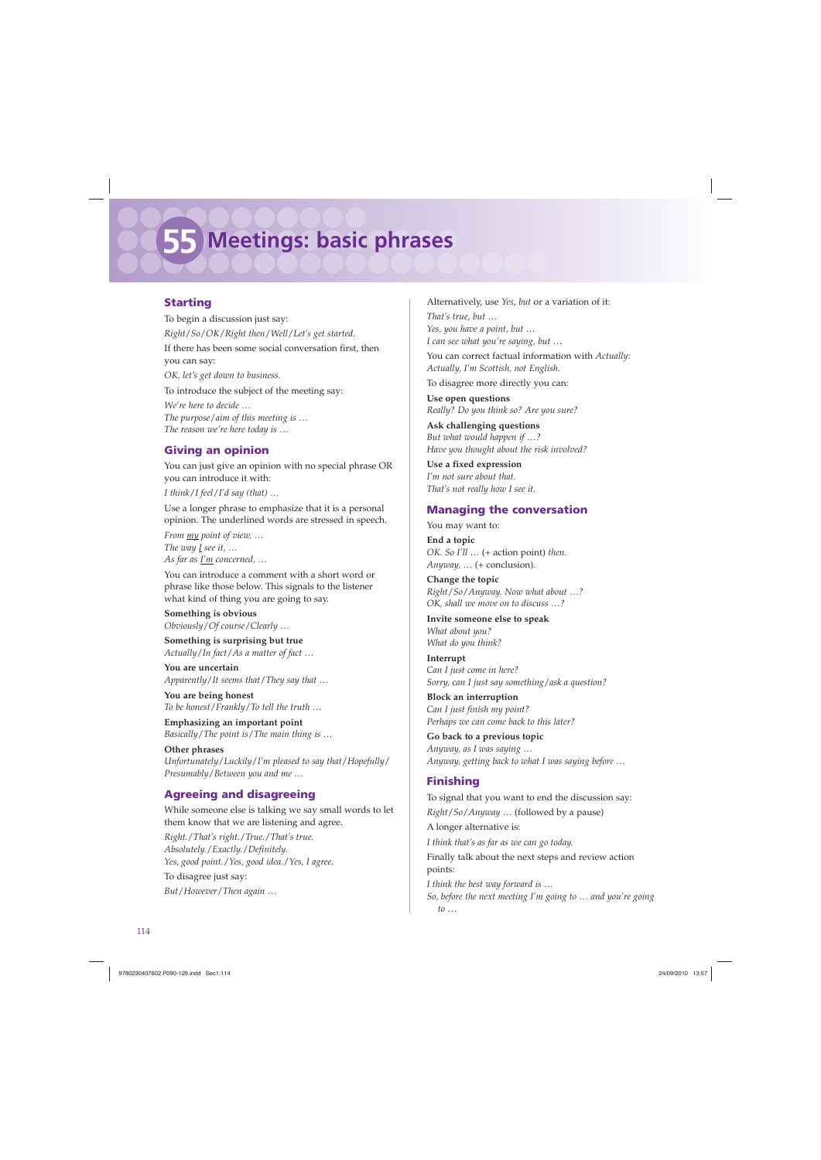# **55 Meetings: basic phrases**

# **Starting**

To begin a discussion just say: *Right*/*So*/*OK*/*Right then*/*Well*/*Let's get started.* If there has been some social conversation first, then you can say: *OK, let's get down to business.*

To introduce the subject of the meeting say:

*We're here to decide … The purpose*/*aim of this meeting is … The reason we're here today is …*

# **Giving an opinion**

You can just give an opinion with no special phrase OR you can introduce it with:

*I think*/*I feel*/*I'd say (that) …*

Use a longer phrase to emphasize that it is a personal opinion. The underlined words are stressed in speech.

*From my point of view, … The way I see it, … As far as I'm concerned, …*

You can introduce a comment with a short word or phrase like those below. This signals to the listener what kind of thing you are going to say.

**Something is obvious** *Obviously*/*Of course*/*Clearly …*

**Something is surprising but true** *Actually*/*In fact*/*As a matter of fact …*

**You are uncertain** *Apparently*/*It seems that*/*They say that …*

**You are being honest** *To be honest*/*Frankly*/*To tell the truth …*

**Emphasizing an important point** *Basically*/*The point is*/*The main thing is …*

**Other phrases** *Unfortunately*/*Luckily*/*I'm pleased to say that*/*Hopefully*/ *Presumably*/*Between you and me …*

# **Agreeing and disagreeing**

While someone else is talking we say small words to let them know that we are listening and agree.

*Right.*/*That's right.*/*True.*/*That's true. Absolutely.*/*Exactly.*/*Definitely. Yes, good point.*/*Yes, good idea.*/*Yes, I agree.* To disagree just say:

*But*/*However*/*Then again …*

Alternatively, use *Yes*, *but* or a variation of it:

*That's true, but … Yes, you have a point, but … I can see what you're saying, but …*

You can correct factual information with *Actually*: *Actually, I'm Scottish, not English.*

To disagree more directly you can:

**Use open questions** *Really? Do you think so? Are you sure?*

**Ask challenging questions** *But what would happen if …? Have you thought about the risk involved?*

**Use a fixed expression** *I'm not sure about that. That's not really how I see it.*

# **Managing the conversation**

You may want to:

**End a topic** *OK. So I'll …* (+ action point) *then. Anyway, …* (+ conclusion).

**Change the topic** *Right*/*So*/*Anyway. Now what about …? OK, shall we move on to discuss …?*

**Invite someone else to speak** *What about you? What do you think?*

**Interrupt** *Can I just come in here? Sorry, can I just say something*/*ask a question?*

**Block an interruption** *Can I just finish my point? Perhaps we can come back to this later?*

**Go back to a previous topic** *Anyway, as I was saying … Anyway, getting back to what I was saying before …*

# **Finishing**

 *to …*

To signal that you want to end the discussion say: *Right*/*So*/*Anyway …* (followed by a pause) A longer alternative is: *I think that's as far as we can go today.* Finally talk about the next steps and review action points: *I think the best way forward is … So, before the next meeting I'm going to … and you're going*